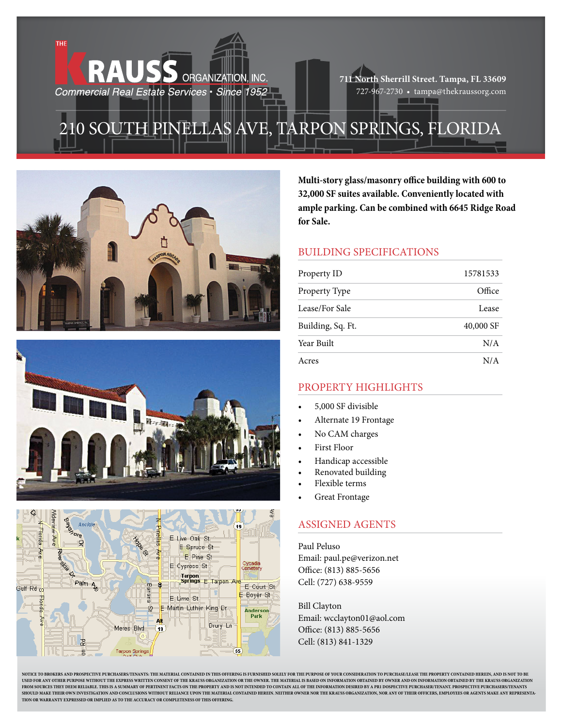**711 North Sherrill Street. Tampa, FL 33609** 727-967-2730 • tampa@thekraussorg.com

## 210 South Pinellas Ave, Tarpon Springs, Florida

ORGANIZATION, INC.



**RAUSS** 

Commercial Real Estate Services · Since 1952





**Multi-story glass/masonry office building with 600 to 32,000 SF suites available. Conveniently located with ample parking. Can be combined with 6645 Ridge Road for Sale.**

## Building Specifications

| Property ID       | 15781533  |
|-------------------|-----------|
| Property Type     | Office    |
| Lease/For Sale    | Lease     |
| Building, Sq. Ft. | 40,000 SF |
| Year Built        | N/A       |
| Acres             | N/A       |

## PROPERTY HIGHLIGHTS

- 5,000 SF divisible
- Alternate 19 Frontage
- No CAM charges
- First Floor
- Handicap accessible
- Renovated building
- Flexible terms
- **Great Frontage**

## ASsigned agents

Paul Peluso Email: paul.pe@verizon.net Office: (813) 885-5656 Cell: (727) 638-9559

Bill Clayton Email: wcclayton01@aol.com Office: (813) 885-5656 Cell: (813) 841-1329

NOTICE TO BROKERS AND PROSPECTIVE PURCHASERS/TENANTS: THE MATERIAL CONTAINED IN THIS OFFERING IS FURNISHED SOLELY FOR THE PURPOSE OF YOUR CONSIDERATION TO PURCHASE/LEASE THE PROPERTY CONTAINED HEREIN, AND IS NOT TO BE USED FOR ANY OTHER PURPOSE WITHOUT THE EXPRESS WRITTEN CONSENT OF THE KRAUSS ORGANIZATION OR THE OWNER. THE MATERIAL IS BASED ON INFORMATION OBTAINED BY OWNER AND ON INFORMATION OBTAINED BY THE KRAUSS ORGANIZATION FROM SOURCES THEY DEEM RELIABLE. THIS IS A SUMMARY OF PERTINENT FACTS ON THE PROPERTY AND IS NOT INTENDED TO CONTAIN ALL OF THE INFORMATION DESIRED BY A PR1 DOSPECTIVE PURCHASER/TENANT. PROSPECTIVE PURCHASERS/TENANTS **SHOULD MAKE THEIR OWN INVESTIGATION AND CONCLUSIONS WITHOUT RELIANCE UPON THE MATERIAL CONTAINED HEREIN. NEITHER OWNER NOR THE KRAUSS ORGANIZATION, NOR ANY OF THEIR OFFICERS, EMPLOYEES OR AGENTS MAKE ANY REPRESENTA-TION OR WARRANTY EXPRESSED OR IMPLIED AS TO THE ACCURACY OR COMPLETENESS OF THIS OFFERING.**